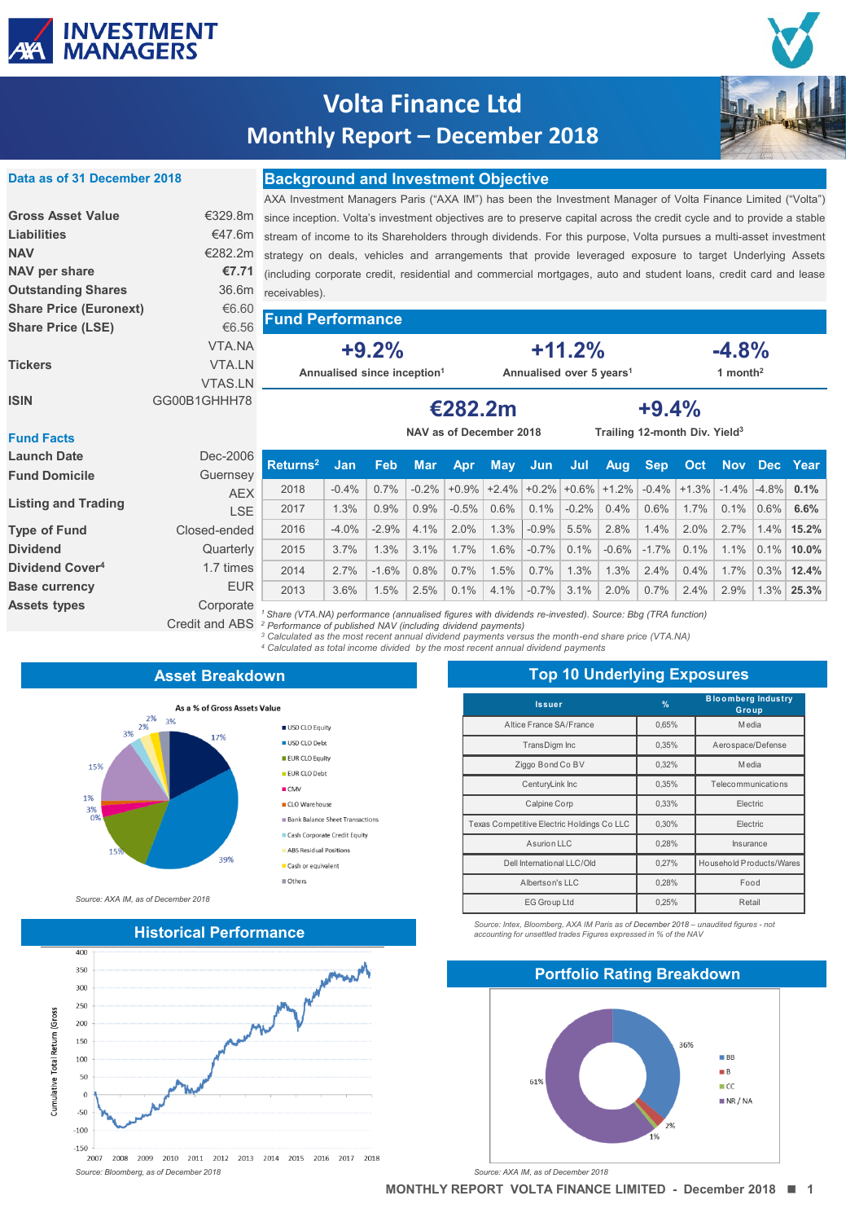

**Data as of 31 December 2018**

# **Volta Finance Ltd Monthly Report – December 2018**



### **Background and Investment Objective**

| Liabilities                   |                | €47.6m stream of income to its Shareholders through dividends. For this purpose, Volta pursues a multi-asset investment |                                      |         |                                           |                      |  |  |
|-------------------------------|----------------|-------------------------------------------------------------------------------------------------------------------------|--------------------------------------|---------|-------------------------------------------|----------------------|--|--|
| <b>NAV</b>                    |                | €282.2m strategy on deals, vehicles and arrangements that provide leveraged exposure to target Underlying Assets        |                                      |         |                                           |                      |  |  |
| NAV per share                 |                | €7.71 (including corporate credit, residential and commercial mortgages, auto and student loans, credit card and lease  |                                      |         |                                           |                      |  |  |
| <b>Outstanding Shares</b>     |                | 36.6m receivables).                                                                                                     |                                      |         |                                           |                      |  |  |
| <b>Share Price (Euronext)</b> | €6.60          | <b>Fund Performance</b>                                                                                                 |                                      |         |                                           |                      |  |  |
| <b>Share Price (LSE)</b>      | €6.56          |                                                                                                                         |                                      |         |                                           |                      |  |  |
|                               | VTA.NA         | $+9.2%$                                                                                                                 | $+11.2%$                             |         |                                           | $-4.8%$              |  |  |
| <b>Tickers</b>                | <b>VTA.LN</b>  | Annualised since inception <sup>1</sup>                                                                                 | Annualised over 5 years <sup>1</sup> |         |                                           | 1 month <sup>2</sup> |  |  |
|                               | <b>VTAS.LN</b> |                                                                                                                         |                                      |         |                                           |                      |  |  |
| <b>ISIN</b>                   | GG00B1GHHH78   |                                                                                                                         | €282.2m                              | $+9.4%$ |                                           |                      |  |  |
| Eund Foots                    |                |                                                                                                                         | NAV as of December 2018              |         | Trailing 12-month Div. Yield <sup>3</sup> |                      |  |  |

#### **Fund Facts**

| <b>Launch Date</b><br><b>Fund Domicile</b> | Dec-2006<br>Guernsey        | Returns <sup>2</sup>                                                                                                                                                              | <b>Jan</b> | <b>Feb</b> | <b>Mar</b> | <b>Apr</b> | <b>May</b> | - Jun   | Jul      | Aug                                                                                   | <b>Sep</b> | <b>Oct</b> | Nov Dec Year |           |               |
|--------------------------------------------|-----------------------------|-----------------------------------------------------------------------------------------------------------------------------------------------------------------------------------|------------|------------|------------|------------|------------|---------|----------|---------------------------------------------------------------------------------------|------------|------------|--------------|-----------|---------------|
|                                            | <b>AEX</b>                  | 2018                                                                                                                                                                              | $-0.4\%$   | 0.7%       | $-0.2%$    |            |            |         |          | $+0.9\%$ $+2.4\%$ $+0.2\%$ $+0.6\%$ $+1.2\%$ $-0.4\%$ $+1.3\%$ $-1.4\%$ $-4.8\%$ 0.1% |            |            |              |           |               |
| <b>Listing and Trading</b>                 | <b>LSE</b>                  | 2017                                                                                                                                                                              | 1.3%       | 0.9%       | 0.9%       | $-0.5%$    | 0.6%       | 0.1%    | $-0.2\%$ | 0.4%                                                                                  | 0.6%       | 1.7%       | 0.1%         | $ 0.6\% $ | 6.6%          |
| <b>Type of Fund</b>                        | Closed-ended                | 2016                                                                                                                                                                              | $-4.0%$    | $-2.9%$    | 4.1%       | 2.0%       | 1.3%       | $-0.9%$ | 5.5%     | 2.8%                                                                                  | 1.4%       | 2.0%       | 2.7%         |           | 1.4% 15.2%    |
| <b>Dividend</b>                            | Quarterly                   | 2015                                                                                                                                                                              | 3.7%       | 1.3%       | $3.1\%$    | 1.7%       | 1.6%       | $-0.7%$ | 0.1%     | $-0.6%$                                                                               | $-1.7\%$   | 0.1%       | 1.1%         |           | $0.1\%$ 10.0% |
| Dividend Cover <sup>4</sup>                | 1.7 times                   | 2014                                                                                                                                                                              | 2.7%       | $-1.6%$    | 0.8%       | 0.7%       | 1.5%       | $0.7\%$ | 1.3%     | 1.3%                                                                                  | 2.4%       | 0.4%       | 1.7%         |           | $0.3\%$ 12.4% |
| <b>Base currency</b>                       | <b>EUR</b>                  | 2013                                                                                                                                                                              | 3.6%       | 1.5%       | 2.5%       | 0.1%       | 4.1%       | $-0.7%$ | 3.1%     | 2.0%                                                                                  | 0.7%       | 2.4%       | 2.9%         |           | 1.3% 25.3%    |
| <b>Assets types</b>                        | Corporate<br>Credit and ABS | Share (VTA.NA) performance (annualised figures with dividends re-invested). Source: Bbg (TRA function)<br><sup>2</sup> Performance of published NAV (including dividend payments) |            |            |            |            |            |         |          |                                                                                       |            |            |              |           |               |

<sup>2</sup> Performance of published NAV (including dividend payments)<br><sup>3</sup> Calculated as the most recent annual dividend payments versus the month-end share price (VTA.NA)

*<sup>4</sup> Calculated as total income divided by the most recent annual dividend payments* 

### **Asset Breakdown**

USD CLO Equity

USD CLO Debt EUR CLO Equity

EUR CLO Debt  $CMV$ 

CLO Warehouse

Cash or equivalent  $\blacksquare$  Others

**Bank Balance Sheet Transactions** Cash Corporate Credit Equity ABS Residual Positions



*Source: AXA IM, as of December 2018*



| <b>Top 10 Underlying Exposures</b>         |               |                                    |  |  |  |  |  |
|--------------------------------------------|---------------|------------------------------------|--|--|--|--|--|
| <b>Issuer</b>                              | $\frac{9}{6}$ | <b>Bloomberg Industry</b><br>Group |  |  |  |  |  |
| Altice France SA/France                    | 0,65%         | M edia                             |  |  |  |  |  |
| TransDigm Inc                              | 0.35%         | Aerospace/Defense                  |  |  |  |  |  |
| Ziggo Bond Co BV                           | 0,32%         | M edia                             |  |  |  |  |  |
| CenturyLink Inc                            | 0,35%         | Telecommunications                 |  |  |  |  |  |
| Calpine Corp                               | 0,33%         | Electric                           |  |  |  |  |  |
| Texas Competitive Electric Holdings Co LLC | 0,30%         | Electric                           |  |  |  |  |  |
| Asurion LLC                                | 0,28%         | Insurance                          |  |  |  |  |  |
| Dell International LLC/Old                 | 0.27%         | Household Products/Wares           |  |  |  |  |  |
| Albertson's LLC                            | 0,28%         | Food                               |  |  |  |  |  |
| EG Group Ltd                               | 0,25%         | Retail                             |  |  |  |  |  |

*Source: Intex, Bloomberg, AXA IM Paris as of December 2018 – unaudited figures - not accounting for unsettled trades Figures expressed in % of the NAV*

### **Portfolio Rating Breakdown** 36%  $\blacksquare$  BB  $B$ 61%  $\blacksquare$  CC.  $\blacksquare$  NR / NA

2%



**MONTHLY REPORT VOLTA FINANCE LIMITED - December 2018 1**

**Historical Performance**

Cumulative Total Return (Gross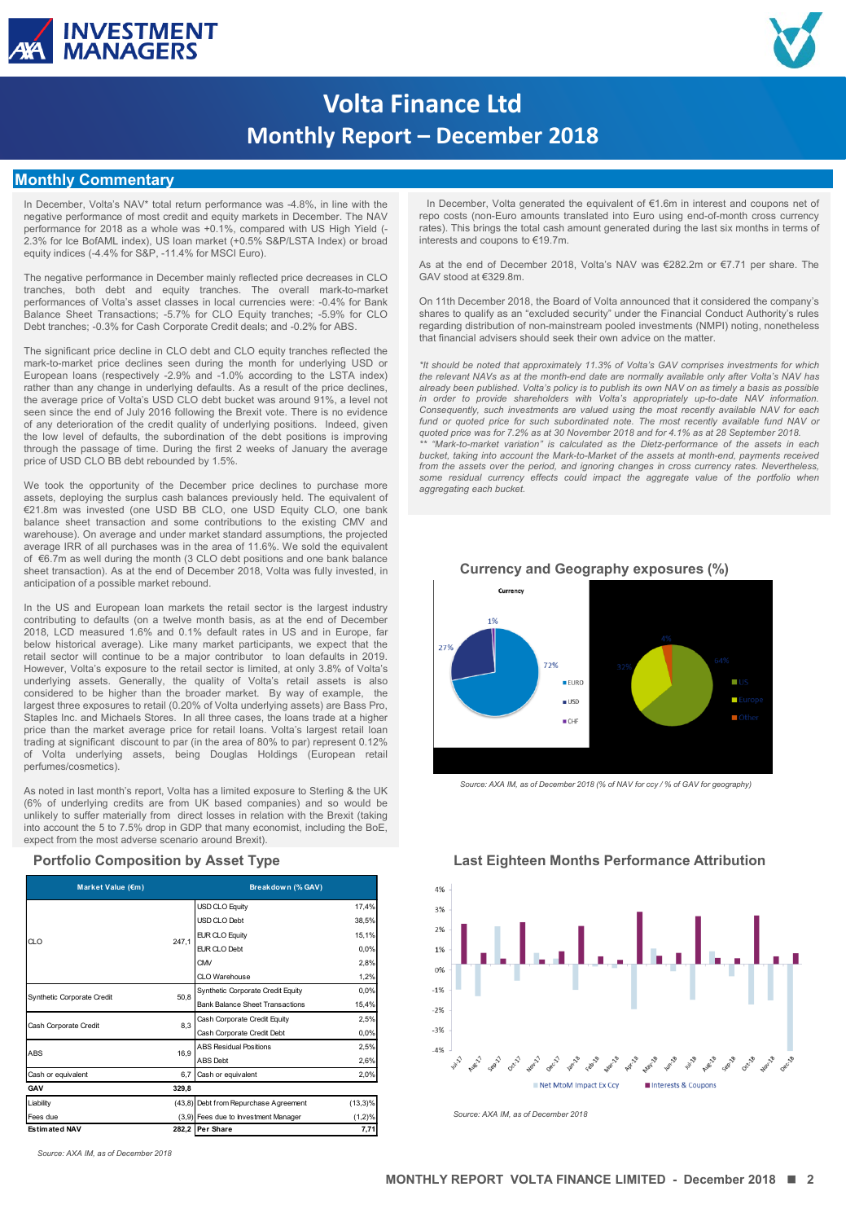



# **Volta Finance Ltd Monthly Report – December 2018**

### **Monthly Commentary**

In December, Volta's NAV\* total return performance was -4.8%, in line with the negative performance of most credit and equity markets in December. The NAV performance for 2018 as a whole was +0.1%, compared with US High Yield (- 2.3% for Ice BofAML index), US loan market (+0.5% S&P/LSTA Index) or broad equity indices (-4.4% for S&P, -11.4% for MSCI Euro).

The negative performance in December mainly reflected price decreases in CLO tranches, both debt and equity tranches. The overall mark-to-market performances of Volta's asset classes in local currencies were: -0.4% for Bank Balance Sheet Transactions; -5.7% for CLO Equity tranches; -5.9% for CLO Debt tranches; -0.3% for Cash Corporate Credit deals; and -0.2% for ABS.

The significant price decline in CLO debt and CLO equity tranches reflected the mark-to-market price declines seen during the month for underlying USD or European loans (respectively -2.9% and -1.0% according to the LSTA index) rather than any change in underlying defaults. As a result of the price declines, the average price of Volta's USD CLO debt bucket was around 91%, a level not seen since the end of July 2016 following the Brexit vote. There is no evidence of any deterioration of the credit quality of underlying positions. Indeed, given the low level of defaults, the subordination of the debt positions is improving through the passage of time. During the first 2 weeks of January the average price of USD CLO BB debt rebounded by 1.5%.

We took the opportunity of the December price declines to purchase more assets, deploying the surplus cash balances previously held. The equivalent of €21.8m was invested (one USD BB CLO, one USD Equity CLO, one bank balance sheet transaction and some contributions to the existing CMV and warehouse). On average and under market standard assumptions, the projected average IRR of all purchases was in the area of 11.6%. We sold the equivalent of €6.7m as well during the month (3 CLO debt positions and one bank balance sheet transaction). As at the end of December 2018, Volta was fully invested, in anticipation of a possible market rebound.

In the US and European loan markets the retail sector is the largest industry contributing to defaults (on a twelve month basis, as at the end of December 2018, LCD measured 1.6% and 0.1% default rates in US and in Europe, far below historical average). Like many market participants, we expect that the retail sector will continue to be a major contributor to loan defaults in 2019. However, Volta's exposure to the retail sector is limited, at only 3.8% of Volta's underlying assets. Generally, the quality of Volta's retail assets is also considered to be higher than the broader market. By way of example, the largest three exposures to retail (0.20% of Volta underlying assets) are Bass Pro, Staples Inc. and Michaels Stores. In all three cases, the loans trade at a higher price than the market average price for retail loans. Volta's largest retail loan trading at significant discount to par (in the area of 80% to par) represent 0.12% of Volta underlying assets, being Douglas Holdings (European retail perfumes/cosmetics).

As noted in last month's report, Volta has a limited exposure to Sterling & the UK (6% of underlying credits are from UK based companies) and so would be unlikely to suffer materially from direct losses in relation with the Brexit (taking into account the 5 to 7.5% drop in GDP that many economist, including the BoE, expect from the most adverse scenario around Brexit).

#### **Portfolio Composition by Asset Type**

| Market Value (€m)          |       | Breakdown (% GAV)                               | 4%         |       |  |  |
|----------------------------|-------|-------------------------------------------------|------------|-------|--|--|
|                            |       | USD CLO Equity                                  | 17.4%      | 3%    |  |  |
|                            |       | USD CLO Debt                                    | 38,5%      |       |  |  |
|                            |       | EUR CLO Equity                                  | 15,1%      | 2%    |  |  |
| $\alpha$ o                 | 247,1 | EUR CLO Debt                                    | 0.0%       | 1%    |  |  |
|                            |       | <b>CMV</b>                                      | 2,8%       | 0%    |  |  |
|                            |       | CLO Warehouse                                   | 1,2%       |       |  |  |
|                            | 50.8  | Synthetic Corporate Credit Equity               | 0.0%       | $-1%$ |  |  |
| Synthetic Corporate Credit |       | <b>Bank Balance Sheet Transactions</b><br>15,4% |            | $-2%$ |  |  |
| Cash Corporate Credit      | 8.3   | Cash Corporate Credit Equity                    | 2.5%       |       |  |  |
|                            |       | Cash Corporate Credit Debt                      | 0.0%       | $-3%$ |  |  |
| ABS                        | 16.9  | <b>ABS Residual Positions</b>                   | 2,5%       | $-4%$ |  |  |
|                            |       | ABS Debt                                        | 2,6%       |       |  |  |
| Cash or equivalent         | 6.7   | Cash or equivalent                              | 2,0%       |       |  |  |
| GAV                        | 329,8 |                                                 |            |       |  |  |
| Liability                  |       | (43,8) Debt from Repurchase Agreement           | $(13,3)\%$ |       |  |  |
| Fees due                   |       | (3,9) Fees due to Investment Manager            | $(1,2)\%$  |       |  |  |
| <b>Estimated NAV</b>       |       | 282,2 Per Share                                 | 7,71       |       |  |  |

 In December, Volta generated the equivalent of €1.6m in interest and coupons net of repo costs (non-Euro amounts translated into Euro using end-of-month cross currency rates). This brings the total cash amount generated during the last six months in terms of interests and coupons to €19.7m.

As at the end of December 2018, Volta's NAV was €282.2m or €7.71 per share. The GAV stood at €329.8m.

On 11th December 2018, the Board of Volta announced that it considered the company's shares to qualify as an "excluded security" under the Financial Conduct Authority's rules regarding distribution of non-mainstream pooled investments (NMPI) noting, nonetheless that financial advisers should seek their own advice on the matter.

*\*It should be noted that approximately 11.3% of Volta's GAV comprises investments for which* the relevant NAVs as at the month-end date are normally available only after Volta's NAV has<br>already been published. Volta's policy is to publish its own NAV on as timely a basis as possible<br>in order to provide shareho Consequently, such investments are valued using the most recently available NAV for each<br>fund or quoted price for such subordinated note. The most recently available fund NAV or *quoted price was for 7.2% as at 30 November 2018 and for 4.1% as at 28 September 2018. \*\* "Mark-to-market variation" is calculated as the Dietz-performance of the assets in each bucket, taking into account the Mark-to-Market of the assets at month-end, payments received from the assets over the period, and ignoring changes in cross currency rates. Nevertheless, some residual currency effects could impact the aggregate value of the portfolio when aggregating each bucket.*



**Currency and Geography exposures (%)**

*Source: AXA IM, as of December 2018 (% of NAV for ccy / % of GAV for geography)* 



**Last Eighteen Months Performance Attribution**

*Source: AXA IM, as of December 2018*